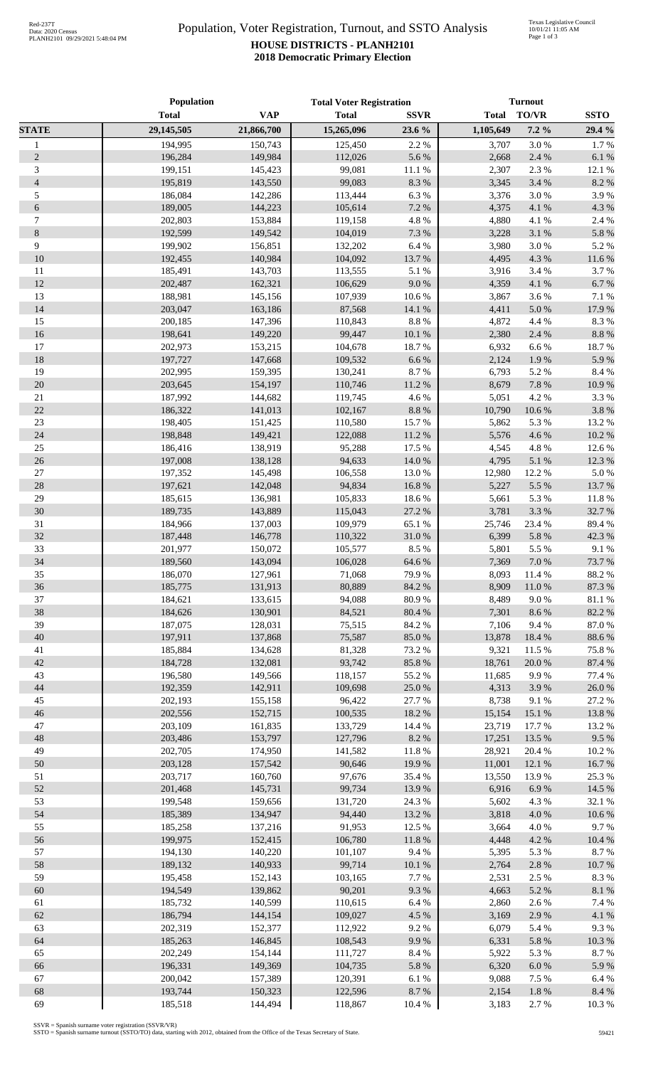## Population, Voter Registration, Turnout, and SSTO Analysis **HOUSE DISTRICTS - PLANH2101 2018 Democratic Primary Election**

|                | Population   |            | <b>Total Voter Registration</b> |             | <b>Turnout</b> |           |             |
|----------------|--------------|------------|---------------------------------|-------------|----------------|-----------|-------------|
|                | <b>Total</b> | <b>VAP</b> | <b>Total</b>                    | <b>SSVR</b> | <b>Total</b>   | TO/VR     | <b>SSTO</b> |
| <b>STATE</b>   | 29,145,505   | 21,866,700 | 15,265,096                      | 23.6 %      | 1,105,649      | $7.2\%$   | 29.4 %      |
| $\mathbf{1}$   | 194,995      | 150,743    | 125,450                         | 2.2 %       | 3,707          | 3.0%      | 1.7%        |
| $\mathbf{2}$   | 196,284      | 149,984    | 112,026                         | 5.6%        | 2,668          | 2.4 %     | 6.1%        |
| 3              | 199,151      | 145,423    | 99,081                          | 11.1 %      | 2,307          | 2.3 %     | 12.1 %      |
| $\overline{4}$ | 195,819      | 143,550    | 99,083                          | 8.3%        | 3,345          | 3.4 %     | 8.2%        |
| 5              | 186,084      | 142,286    | 113,444                         | 6.3 %       | 3,376          | 3.0%      | 3.9%        |
| $\sqrt{6}$     | 189,005      | 144,223    | 105,614                         | 7.2 %       | 4,375          | 4.1 %     | 4.3 %       |
| 7              | 202,803      | 153,884    | 119,158                         | 4.8 %       | 4,880          | 4.1 %     | 2.4 %       |
| $8\,$          | 192,599      | 149.542    | 104,019                         | 7.3 %       | 3,228          | 3.1 %     | 5.8%        |
| 9              | 199,902      | 156,851    | 132,202                         | $6.4~\%$    | 3,980          | 3.0%      | 5.2 %       |
| 10             | 192,455      | 140,984    | 104,092                         | 13.7%       | 4,495          | 4.3 %     | 11.6%       |
| 11             | 185,491      | 143,703    | 113,555                         | 5.1 %       | 3,916          | 3.4 %     | 3.7%        |
| 12             | 202,487      | 162,321    | 106,629                         | 9.0%        | 4,359          | 4.1 %     | 6.7%        |
| 13             | 188,981      | 145,156    | 107,939                         | 10.6%       | 3,867          | 3.6%      | 7.1 %       |
| 14             | 203,047      | 163,186    | 87,568                          | 14.1 %      | 4,411          | 5.0%      | 17.9%       |
| 15             | 200,185      | 147,396    | 110,843                         | $8.8\ \%$   | 4,872          | 4.4 %     | 8.3%        |
| 16             | 198,641      | 149,220    | 99,447                          | 10.1%       | 2,380          | 2.4 %     | 8.8%        |
| 17             | 202,973      | 153,215    | 104,678                         | 18.7%       | 6,932          | 6.6%      | 18.7%       |
| 18             | 197,727      | 147,668    | 109,532                         | 6.6%        | 2,124          | 1.9%      | 5.9%        |
| 19             | 202,995      | 159,395    | 130,241                         | 8.7%        | 6,793          | 5.2%      | 8.4%        |
| 20             | 203,645      | 154,197    | 110,746                         | $11.2\ \%$  | 8,679          | 7.8 %     | 10.9%       |
| $21\,$         | 187,992      | 144,682    | 119,745                         | 4.6%        | 5,051          | 4.2 %     | 3.3%        |
| 22             | 186,322      | 141,013    | 102,167                         | $8.8~\%$    | 10,790         | 10.6 %    | 3.8%        |
| $23\,$         | 198,405      | 151,425    | 110,580                         | 15.7%       | 5,862          | 5.3 %     | 13.2 %      |
| 24             | 198,848      | 149,421    | 122,088                         | 11.2 %      | 5,576          | 4.6%      | 10.2%       |
| $25\,$         | 186,416      | 138,919    | 95,288                          | 17.5 %      | 4,545          | 4.8%      | 12.6%       |
| $26\,$         | 197,008      | 138,128    | 94,633                          | 14.0%       | 4,795          | 5.1 %     | 12.3 %      |
| $27\,$         | 197,352      | 145,498    | 106,558                         | 13.0%       | 12,980         | 12.2 %    | 5.0%        |
| 28             | 197,621      | 142,048    | 94,834                          | 16.8%       | 5,227          | 5.5 %     | 13.7 %      |
| 29             | 185,615      | 136,981    | 105,833                         | 18.6%       | 5,661          | 5.3 %     | 11.8%       |
| 30             | 189,735      | 143,889    | 115,043                         | 27.2 %      | 3,781          | 3.3%      | 32.7%       |
| 31             | 184,966      | 137,003    | 109,979                         | 65.1 %      | 25,746         | 23.4 %    | 89.4%       |
| 32             | 187,448      | 146,778    | 110,322                         | 31.0%       | 6,399          | 5.8 %     | 42.3 %      |
| 33             | 201,977      | 150,072    | 105,577                         | 8.5 %       | 5,801          | 5.5 %     | 9.1%        |
| 34             | 189,560      | 143,094    | 106,028                         | 64.6 %      | 7,369          | 7.0 %     | 73.7 %      |
| 35             | 186,070      | 127,961    | 71,068                          | 79.9%       | 8,093          | 11.4 %    | 88.2%       |
| 36             | 185,775      | 131,913    | 80,889                          | 84.2 %      | 8,909          | 11.0%     | 87.3%       |
| 37             | 184,621      | 133,615    | 94,088                          | 80.9%       | 8,489          | 9.0%      | 81.1%       |
| 38             | 184,626      | 130,901    | 84,521                          | 80.4 %      | 7,301          | 8.6%      | 82.2%       |
| 39             | 187,075      | 128,031    | 75,515                          | 84.2%       | 7,106          | 9.4%      | 87.0%       |
| 40             | 197,911      | 137,868    | 75,587                          | 85.0%       | 13,878         | 18.4 %    | 88.6%       |
| 41             | 185,884      | 134,628    | 81,328                          | 73.2 %      | 9,321          | 11.5 %    | 75.8%       |
| 42             | 184,728      | 132,081    | 93,742                          | 85.8%       | 18,761         | $20.0~\%$ | 87.4 %      |
| 43             | 196,580      | 149,566    | 118,157                         | 55.2%       | 11,685         | 9.9%      | 77.4 %      |
| 44             | 192,359      | 142,911    | 109,698                         | 25.0%       | 4,313          | 3.9%      | 26.0%       |
| 45             | 202,193      | 155,158    | 96,422                          | 27.7 %      | 8,738          | 9.1%      | 27.2 %      |
| 46             | 202,556      | 152,715    | 100,535                         | 18.2 %      | 15,154         | 15.1 %    | 13.8%       |
| 47             | 203,109      | 161,835    | 133,729                         | 14.4 %      | 23,719         | 17.7 %    | 13.2 %      |
| 48             | 203,486      | 153,797    | 127,796                         | $8.2~\%$    | 17,251         | 13.5 %    | 9.5%        |
| 49             | 202,705      | 174,950    | 141,582                         | $11.8\ \%$  | 28,921         | 20.4 %    | 10.2%       |
| 50             | 203,128      | 157,542    | 90,646                          | 19.9%       | 11,001         | 12.1 %    | 16.7%       |
| 51             | 203,717      | 160,760    | 97,676                          | $35.4\ \%$  | 13,550         | 13.9%     | 25.3 %      |
| 52             | 201,468      | 145,731    | 99,734                          | 13.9%       | 6,916          | 6.9%      | 14.5 %      |
| 53             | 199,548      | 159,656    | 131,720                         | 24.3 %      | 5,602          | 4.3%      | 32.1 %      |
| 54             | 185,389      | 134,947    | 94,440                          | 13.2 %      | 3,818          | 4.0%      | 10.6%       |
| 55             | 185,258      | 137,216    | 91,953                          | 12.5 %      | 3,664          | 4.0%      | 9.7%        |
| 56             | 199,975      | 152,415    | 106,780                         | 11.8 %      | 4,448          | 4.2 %     | 10.4 %      |
| 57             | 194,130      | 140,220    | 101,107                         | 9.4%        | 5,395          | 5.3 %     | 8.7%        |
| 58             | 189,132      | 140,933    | 99,714                          | $10.1~\%$   | 2,764          | 2.8%      | 10.7%       |
| 59             | 195,458      | 152,143    | 103,165                         | 7.7 %       | 2,531          | 2.5 %     | 8.3%        |
| 60             | 194,549      | 139,862    | 90,201                          | 9.3%        | 4,663          | 5.2 %     | 8.1%        |
| 61             | 185,732      | 140,599    | 110,615                         | 6.4 %       | 2,860          | 2.6%      | 7.4 %       |
| 62             | 186,794      | 144,154    | 109,027                         | 4.5 %       | 3,169          | 2.9%      | 4.1 %       |
| 63             | 202,319      | 152,377    | 112,922                         | 9.2%        | 6,079          | 5.4 %     | 9.3%        |
| 64             | 185,263      | 146,845    | 108,543                         | 9.9%        | 6,331          | 5.8 %     | 10.3%       |
| 65             | 202,249      | 154,144    | 111,727                         | $8.4~\%$    | 5,922          | 5.3 %     | 8.7%        |
| 66             | 196,331      | 149,369    | 104,735                         | 5.8 %       | 6,320          | $6.0\ \%$ | 5.9%        |
| 67             | 200,042      | 157,389    | 120,391                         | 6.1 %       | 9,088          | 7.5 %     | 6.4%        |
| 68             | 193,744      | 150,323    | 122,596                         | 8.7 %       | 2,154          | 1.8 %     | 8.4%        |
| 69             | 185,518      | 144,494    | 118,867                         | 10.4 %      | 3,183          | 2.7%      | 10.3%       |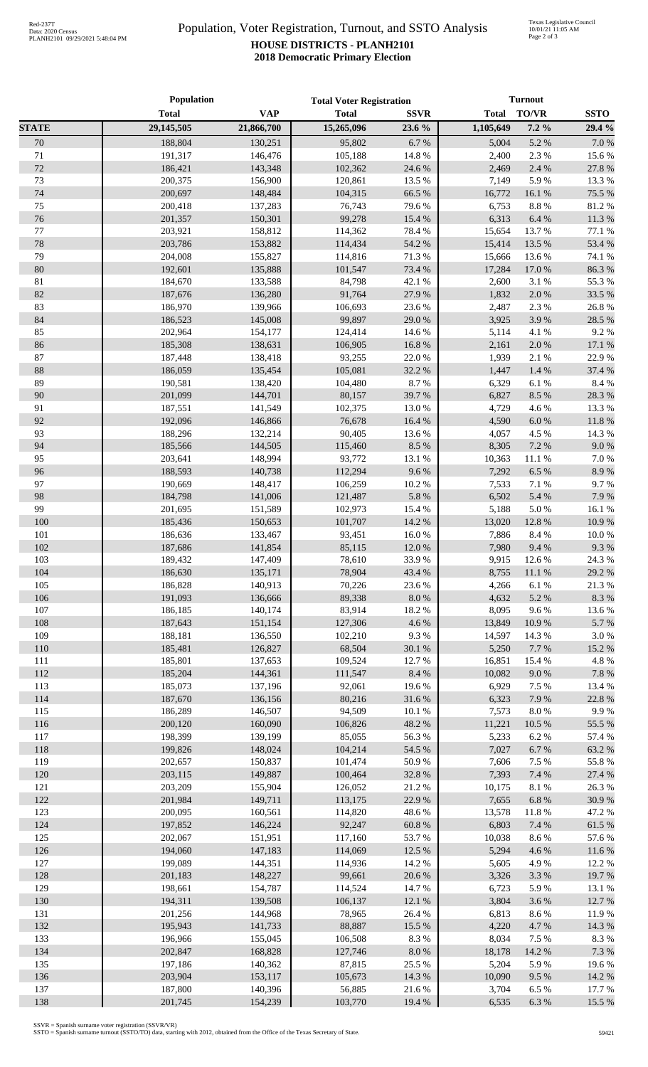## Population, Voter Registration, Turnout, and SSTO Analysis **HOUSE DISTRICTS - PLANH2101 2018 Democratic Primary Election**

|              | Population         |                    | <b>Total Voter Registration</b> |                  | <b>Turnout</b> |                |                 |
|--------------|--------------------|--------------------|---------------------------------|------------------|----------------|----------------|-----------------|
|              | <b>Total</b>       | <b>VAP</b>         | <b>Total</b>                    | <b>SSVR</b>      | <b>Total</b>   | <b>TO/VR</b>   | <b>SSTO</b>     |
| <b>STATE</b> | 29,145,505         | 21,866,700         | 15,265,096                      | 23.6 %           | 1,105,649      | $7.2\%$        | 29.4 %          |
| 70           | 188,804            | 130,251            | 95,802                          | 6.7%             | 5,004          | 5.2 %          | $7.0\ \%$       |
| 71           | 191,317            | 146,476            | 105,188                         | 14.8 %           | 2,400          | 2.3 %          | 15.6%           |
| 72           | 186,421            | 143,348            | 102,362                         | 24.6 %           | 2,469          | 2.4 %          | 27.8 %          |
| 73           | 200,375            | 156,900            | 120,861                         | 13.5 %           | 7,149          | 5.9%           | 13.3%           |
| 74           | 200,697            | 148,484            | 104,315                         | 66.5 %           | 16,772         | 16.1 %         | 75.5 %          |
| 75           | 200,418            | 137,283            | 76,743                          | 79.6%            | 6,753          | 8.8%           | 81.2%           |
| 76           | 201,357            | 150,301            | 99,278                          | 15.4 %           | 6,313          | 6.4 %          | 11.3%           |
| 77           | 203,921            | 158,812            | 114,362                         | 78.4 %           | 15,654         | 13.7 %         | 77.1 %          |
| 78           | 203,786            | 153,882            | 114,434                         | 54.2 %           | 15,414         | 13.5 %         | 53.4 %          |
| 79           | 204,008            | 155,827            | 114,816                         | 71.3%            | 15,666         | 13.6 %         | 74.1 %          |
| 80           | 192,601            | 135,888            | 101,547                         | 73.4 %           | 17,284         | 17.0 %         | 86.3%           |
| 81           | 184,670            | 133,588            | 84,798                          | 42.1 %           | 2,600          | 3.1 %          | 55.3%           |
| 82           | 187,676            | 136,280            | 91,764                          | 27.9%            | 1,832          | 2.0 %          | 33.5 %          |
| 83           | 186,970            | 139,966            | 106,693                         | 23.6%            | 2,487          | 2.3 %          | 26.8%           |
| 84           | 186,523            | 145,008            | 99,897                          | 29.0%            | 3,925          | 3.9%           | 28.5 %          |
| 85           | 202,964            | 154,177            | 124,414                         | 14.6 %           | 5,114          | 4.1 %          | 9.2%            |
| 86           | 185,308            | 138,631            | 106,905                         | 16.8%            | 2,161          | 2.0 %          | 17.1 %          |
| 87           | 187,448            | 138,418            | 93,255                          | 22.0%            | 1,939          | 2.1 %          | 22.9%           |
| $88\,$       | 186,059            | 135,454            | 105,081                         | 32.2 %           | 1,447          | 1.4%           | 37.4 %          |
| 89           | 190,581            | 138,420            | 104,480                         | 8.7%             | 6,329          | 6.1%           | $8.4\ \%$       |
| 90           | 201,099            | 144,701            | 80,157                          | 39.7%            | 6,827          | 8.5 %          | 28.3%           |
| 91           | 187,551            | 141,549            | 102,375                         | 13.0%            | 4,729          | 4.6%           | 13.3 %          |
| 92           | 192,096            | 146,866            | 76,678                          | 16.4 %           | 4,590          | $6.0\ \%$      | $11.8\ \%$      |
| 93<br>94     | 188,296<br>185,566 | 132,214<br>144,505 | 90,405                          | 13.6%<br>8.5 %   | 4,057<br>8,305 | 4.5 %<br>7.2 % | 14.3 %<br>9.0%  |
| 95           | 203,641            | 148,994            | 115,460<br>93,772               | 13.1 %           | 10,363         | 11.1 %         | $7.0\ \%$       |
| 96           | 188,593            | 140,738            | 112,294                         | 9.6%             | 7,292          | 6.5%           | 8.9%            |
| 97           | 190,669            | 148,417            | 106,259                         | 10.2 %           | 7,533          | 7.1 %          | 9.7%            |
| 98           | 184,798            | 141,006            | 121,487                         | 5.8 %            | 6,502          | 5.4 %          | 7.9%            |
| 99           | 201,695            | 151,589            | 102,973                         | 15.4 %           | 5,188          | 5.0%           | 16.1 %          |
| 100          | 185,436            | 150,653            | 101,707                         | 14.2 %           | 13,020         | 12.8 %         | 10.9%           |
| 101          | 186,636            | 133,467            | 93,451                          | $16.0\ \%$       | 7,886          | $8.4\ \%$      | $10.0~\%$       |
| 102          | 187,686            | 141,854            | 85,115                          | 12.0%            | 7,980          | 9.4%           | 9.3%            |
| 103          | 189,432            | 147,409            | 78,610                          | 33.9%            | 9,915          | 12.6 %         | 24.3 %          |
| 104          | 186,630            | 135,171            | 78,904                          | 43.4 %           |                | 8,755 11.1 %   | 29.2 %          |
| 105          | 186,828            | 140,913            | 70,226                          | 23.6 %           | 4,266          | 6.1%           | 21.3%           |
| 106          | 191,093            | 136,666            | 89,338                          | $8.0\ \%$        | 4,632          | 5.2 %          | 8.3 %           |
| 107          | 186,185            | 140,174            | 83,914                          | 18.2 %           | 8,095          | 9.6%           | 13.6 %          |
| 108          | 187,643            | 151,154            | 127,306                         | 4.6%             | 13,849         | 10.9%          | 5.7%            |
| 109          | 188,181            | 136,550            | 102,210                         | 9.3%             | 14,597         | 14.3 %         | $3.0\ \%$       |
| 110          | 185,481            | 126,827            | 68,504                          | 30.1 %           | 5,250          | 7.7 %          | 15.2 %          |
| 111          | 185,801            | 137,653            | 109,524                         | 12.7 %           | 16,851         | 15.4 %         | 4.8 %           |
| 112          | 185,204            | 144,361            | 111,547                         | 8.4 %            | 10,082         | 9.0 %          | $7.8~\%$        |
| 113          | 185,073            | 137,196            | 92,061                          | 19.6%            | 6,929          | 7.5 %          | 13.4 %          |
| 114          | 187,670            | 136,156            | 80,216                          | 31.6 %           | 6,323          | 7.9%           | 22.8%           |
| 115          | 186,289            | 146,507            | 94,509                          | 10.1%            | 7,573          | $8.0\ \%$      | 9.9%            |
| 116          | 200,120            | 160,090            | 106,826                         | 48.2 %           | 11,221         | 10.5 %         | 55.5 %          |
| 117          | 198,399            | 139,199            | 85,055                          | 56.3%            | 5,233          | 6.2%           | 57.4 %          |
| 118          | 199,826            | 148,024            | 104,214                         | 54.5 %           | 7,027          | 6.7%           | 63.2%           |
| 119          | 202,657            | 150,837            | 101,474                         | 50.9%            | 7,606          | 7.5 %          | 55.8 %          |
| 120          | 203,115            | 149,887            | 100,464                         | 32.8 %           | 7,393          | 7.4 %          | 27.4 %          |
| 121          | 203,209            | 155,904            | 126,052                         | 21.2%            | 10,175         | $8.1~\%$       | 26.3%           |
| 122          | 201,984            | 149,711            | 113,175                         | 22.9%            | 7,655          | 6.8%           | 30.9%           |
| 123          | 200,095            | 160,561            | 114,820                         | 48.6%            | 13,578         | 11.8%          | 47.2 %          |
| 124          | 197,852            | 146,224            | 92,247                          | $60.8~\%$        | 6,803          | 7.4 %          | 61.5 %          |
| 125          | 202,067            | 151,951            | 117,160                         | 53.7%            | 10,038         | 8.6%           | 57.6%           |
| 126          | 194,060            | 147,183            | 114,069                         | 12.5 %           | 5,294          | 4.6 %          | 11.6 %          |
| 127          | 199,089            | 144,351            | 114,936                         | 14.2 %           | 5,605          | 4.9%           | 12.2 %          |
| 128          | 201,183            | 148,227            | 99,661                          | 20.6 %           | 3,326          | 3.3%           | 19.7%           |
| 129<br>130   | 198,661<br>194,311 | 154,787            | 114,524<br>106,137              | 14.7 %           | 6,723<br>3,804 | 5.9%<br>3.6%   | 13.1 %          |
| 131          | 201,256            | 139,508            | 78,965                          | 12.1 %<br>26.4 % | 6,813          | 8.6%           | 12.7 %<br>11.9% |
| 132          | 195,943            | 144,968<br>141,733 | 88,887                          | 15.5 %           | 4,220          | 4.7%           | 14.3 %          |
| 133          | 196,966            | 155,045            | 106,508                         | 8.3%             | 8,034          | 7.5 %          | 8.3%            |
| 134          | 202,847            | 168,828            | 127,746                         | $8.0\ \%$        | 18,178         | 14.2 %         | 7.3 %           |
| 135          | 197,186            | 140,362            | 87,815                          | 25.5 %           | 5,204          | 5.9%           | 19.6%           |
| 136          | 203,904            | 153,117            | 105,673                         | 14.3 %           | 10,090         | 9.5%           | 14.2 %          |
| 137          | 187,800            | 140,396            | 56,885                          | 21.6%            | 3,704          | 6.5%           | 17.7 %          |
| 138          | 201,745            | 154,239            | 103,770                         | 19.4 %           | 6,535          | $6.3~\%$       | 15.5 %          |